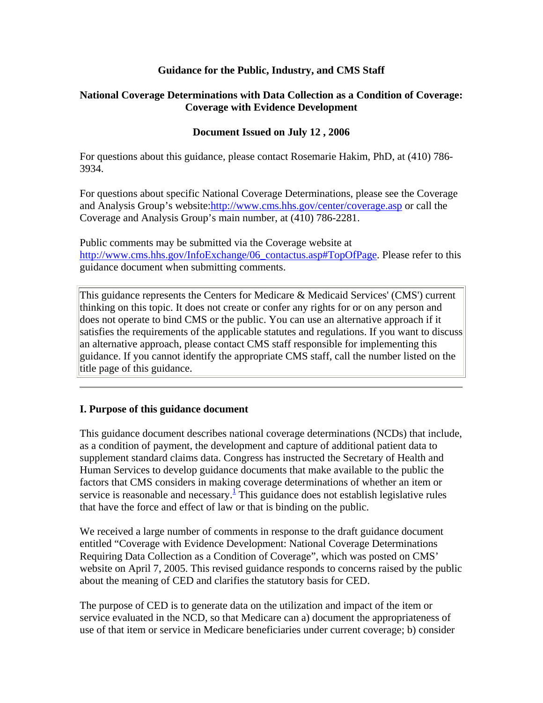#### **Guidance for the Public, Industry, and CMS Staff**

#### **National Coverage Determinations with Data Collection as a Condition of Coverage: Coverage with Evidence Development**

#### **Document Issued on July 12 , 2006**

For questions about this guidance, please contact Rosemarie Hakim, PhD, at (410) 786- 3934.

For questions about specific National Coverage Determinations, please see the Coverage and Analysis Group's website:<http://www.cms.hhs.gov/center/coverage.asp>or call the Coverage and Analysis Group's main number, at (410) 786-2281.

Public comments may be submitted via the Coverage website at [http://www.cms.hhs.gov/InfoExchange/06\\_contactus.asp#TopOfPage](http://www.cms.hhs.gov/InfoExchange/06_contactus.asp#TopOfPage). Please refer to this guidance document when submitting comments.

This guidance represents the Centers for Medicare & Medicaid Services' (CMS') current thinking on this topic. It does not create or confer any rights for or on any person and does not operate to bind CMS or the public. You can use an alternative approach if it satisfies the requirements of the applicable statutes and regulations. If you want to discuss an alternative approach, please contact CMS staff responsible for implementing this guidance. If you cannot identify the appropriate CMS staff, call the number listed on the title page of this guidance.

#### **I. Purpose of this guidance document**

This guidance document describes national coverage determinations (NCDs) that include, as a condition of payment, the development and capture of additional patient data to supplement standard claims data. Congress has instructed the Secretary of Health and Human Services to develop guidance documents that make available to the public the factors that CMS considers in making coverage determinations of whether an item or service is reasonable and necessary.<sup>1</sup> This guidance does not establish legislative rules that have the force and effect of law or that is binding on the public.

We received a large number of comments in response to the draft guidance document entitled "Coverage with Evidence Development: National Coverage Determinations Requiring Data Collection as a Condition of Coverage", which was posted on CMS' website on April 7, 2005. This revised guidance responds to concerns raised by the public about the meaning of CED and clarifies the statutory basis for CED.

The purpose of CED is to generate data on the utilization and impact of the item or service evaluated in the NCD, so that Medicare can a) document the appropriateness of use of that item or service in Medicare beneficiaries under current coverage; b) consider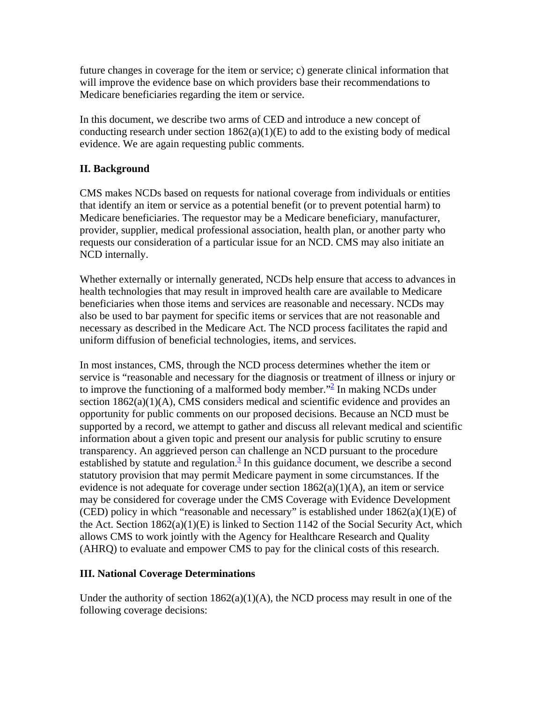future changes in coverage for the item or service; c) generate clinical information that will improve the evidence base on which providers base their recommendations to Medicare beneficiaries regarding the item or service.

In this document, we describe two arms of CED and introduce a new concept of conducting research under section  $1862(a)(1)(E)$  to add to the existing body of medical evidence. We are again requesting public comments.

### **II. Background**

CMS makes NCDs based on requests for national coverage from individuals or entities that identify an item or service as a potential benefit (or to prevent potential harm) to Medicare beneficiaries. The requestor may be a Medicare beneficiary, manufacturer, provider, supplier, medical professional association, health plan, or another party who requests our consideration of a particular issue for an NCD. CMS may also initiate an NCD internally.

Whether externally or internally generated, NCDs help ensure that access to advances in health technologies that may result in improved health care are available to Medicare beneficiaries when those items and services are reasonable and necessary. NCDs may also be used to bar payment for specific items or services that are not reasonable and necessary as described in the Medicare Act. The NCD process facilitates the rapid and uniform diffusion of beneficial technologies, items, and services.

In most instances, CMS, through the NCD process determines whether the item or service is "reasonable and necessary for the diagnosis or treatment of illness or injury or to improve the functioning of a malformed body member."<sup>2</sup> In making NCDs under section 1862(a)(1)(A), CMS considers medical and scientific evidence and provides an opportunity for public comments on our proposed decisions. Because an NCD must be supported by a record, we attempt to gather and discuss all relevant medical and scientific information about a given topic and present our analysis for public scrutiny to ensure transparency. An aggrieved person can challenge an NCD pursuant to the procedure established by statute and regulation. $\frac{3}{5}$  $\frac{3}{5}$  $\frac{3}{5}$  In this guidance document, we describe a second statutory provision that may permit Medicare payment in some circumstances. If the evidence is not adequate for coverage under section  $1862(a)(1)(A)$ , an item or service may be considered for coverage under the CMS Coverage with Evidence Development (CED) policy in which "reasonable and necessary" is established under  $1862(a)(1)(E)$  of the Act. Section 1862(a)(1)(E) is linked to Section 1142 of the Social Security Act, which allows CMS to work jointly with the Agency for Healthcare Research and Quality (AHRQ) to evaluate and empower CMS to pay for the clinical costs of this research.

### **III. National Coverage Determinations**

Under the authority of section  $1862(a)(1)(A)$ , the NCD process may result in one of the following coverage decisions: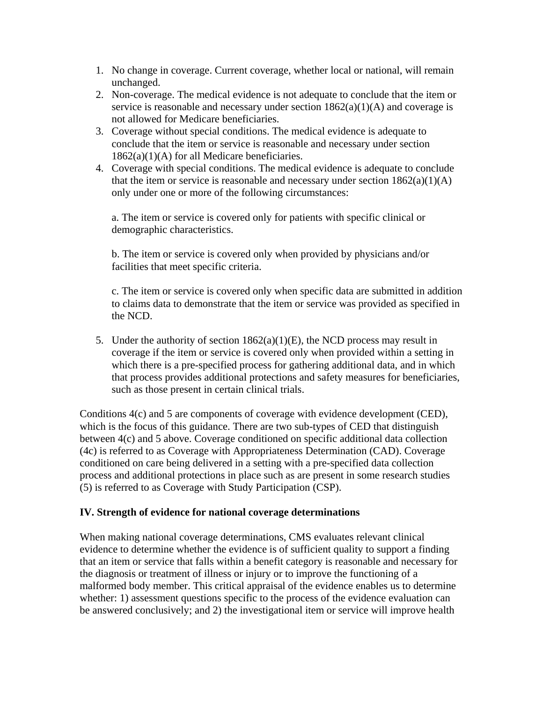- 1. No change in coverage. Current coverage, whether local or national, will remain unchanged.
- 2. Non-coverage. The medical evidence is not adequate to conclude that the item or service is reasonable and necessary under section  $1862(a)(1)(A)$  and coverage is not allowed for Medicare beneficiaries.
- 3. Coverage without special conditions. The medical evidence is adequate to conclude that the item or service is reasonable and necessary under section  $1862(a)(1)(A)$  for all Medicare beneficiaries.
- 4. Coverage with special conditions. The medical evidence is adequate to conclude that the item or service is reasonable and necessary under section  $1862(a)(1)(A)$ only under one or more of the following circumstances:

a. The item or service is covered only for patients with specific clinical or demographic characteristics.

b. The item or service is covered only when provided by physicians and/or facilities that meet specific criteria.

c. The item or service is covered only when specific data are submitted in addition to claims data to demonstrate that the item or service was provided as specified in the NCD.

5. Under the authority of section  $1862(a)(1)(E)$ , the NCD process may result in coverage if the item or service is covered only when provided within a setting in which there is a pre-specified process for gathering additional data, and in which that process provides additional protections and safety measures for beneficiaries, such as those present in certain clinical trials.

Conditions 4(c) and 5 are components of coverage with evidence development (CED), which is the focus of this guidance. There are two sub-types of CED that distinguish between 4(c) and 5 above. Coverage conditioned on specific additional data collection (4c) is referred to as Coverage with Appropriateness Determination (CAD). Coverage conditioned on care being delivered in a setting with a pre-specified data collection process and additional protections in place such as are present in some research studies (5) is referred to as Coverage with Study Participation (CSP).

### **IV. Strength of evidence for national coverage determinations**

When making national coverage determinations, CMS evaluates relevant clinical evidence to determine whether the evidence is of sufficient quality to support a finding that an item or service that falls within a benefit category is reasonable and necessary for the diagnosis or treatment of illness or injury or to improve the functioning of a malformed body member. This critical appraisal of the evidence enables us to determine whether: 1) assessment questions specific to the process of the evidence evaluation can be answered conclusively; and 2) the investigational item or service will improve health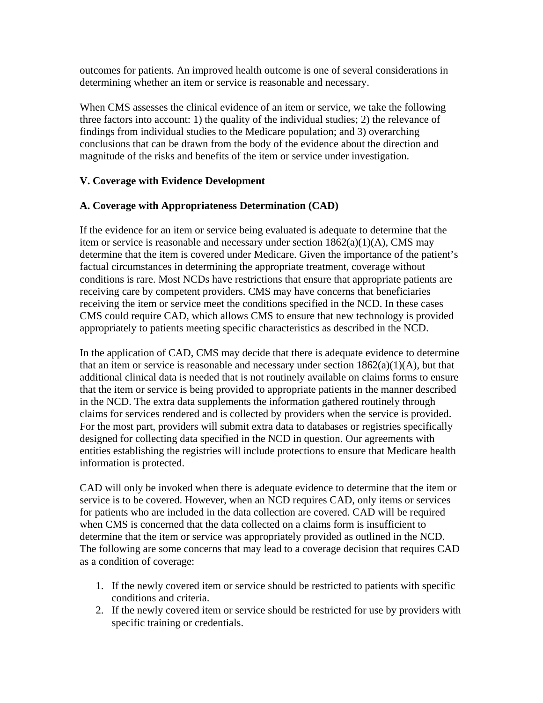outcomes for patients. An improved health outcome is one of several considerations in determining whether an item or service is reasonable and necessary.

When CMS assesses the clinical evidence of an item or service, we take the following three factors into account: 1) the quality of the individual studies; 2) the relevance of findings from individual studies to the Medicare population; and 3) overarching conclusions that can be drawn from the body of the evidence about the direction and magnitude of the risks and benefits of the item or service under investigation.

### **V. Coverage with Evidence Development**

### **A. Coverage with Appropriateness Determination (CAD)**

If the evidence for an item or service being evaluated is adequate to determine that the item or service is reasonable and necessary under section 1862(a)(1)(A), CMS may determine that the item is covered under Medicare. Given the importance of the patient's factual circumstances in determining the appropriate treatment, coverage without conditions is rare. Most NCDs have restrictions that ensure that appropriate patients are receiving care by competent providers. CMS may have concerns that beneficiaries receiving the item or service meet the conditions specified in the NCD. In these cases CMS could require CAD, which allows CMS to ensure that new technology is provided appropriately to patients meeting specific characteristics as described in the NCD.

In the application of CAD, CMS may decide that there is adequate evidence to determine that an item or service is reasonable and necessary under section  $1862(a)(1)(A)$ , but that additional clinical data is needed that is not routinely available on claims forms to ensure that the item or service is being provided to appropriate patients in the manner described in the NCD. The extra data supplements the information gathered routinely through claims for services rendered and is collected by providers when the service is provided. For the most part, providers will submit extra data to databases or registries specifically designed for collecting data specified in the NCD in question. Our agreements with entities establishing the registries will include protections to ensure that Medicare health information is protected.

CAD will only be invoked when there is adequate evidence to determine that the item or service is to be covered. However, when an NCD requires CAD, only items or services for patients who are included in the data collection are covered. CAD will be required when CMS is concerned that the data collected on a claims form is insufficient to determine that the item or service was appropriately provided as outlined in the NCD. The following are some concerns that may lead to a coverage decision that requires CAD as a condition of coverage:

- 1. If the newly covered item or service should be restricted to patients with specific conditions and criteria.
- 2. If the newly covered item or service should be restricted for use by providers with specific training or credentials.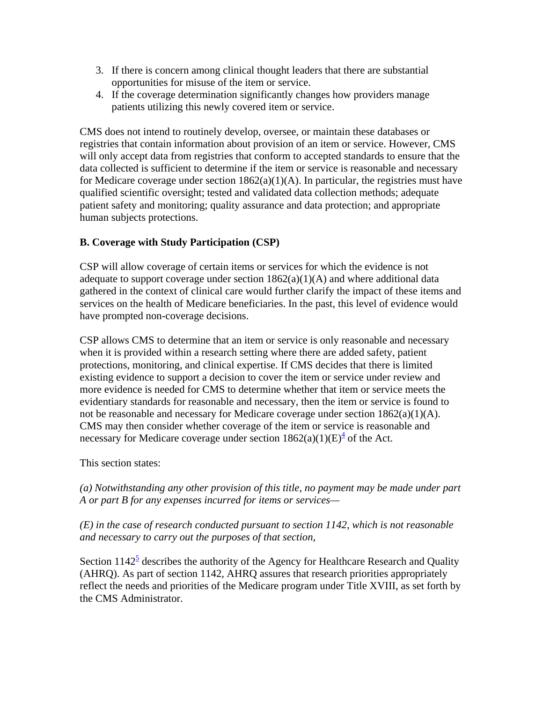- 3. If there is concern among clinical thought leaders that there are substantial opportunities for misuse of the item or service.
- 4. If the coverage determination significantly changes how providers manage patients utilizing this newly covered item or service.

CMS does not intend to routinely develop, oversee, or maintain these databases or registries that contain information about provision of an item or service. However, CMS will only accept data from registries that conform to accepted standards to ensure that the data collected is sufficient to determine if the item or service is reasonable and necessary for Medicare coverage under section  $1862(a)(1)(A)$ . In particular, the registries must have qualified scientific oversight; tested and validated data collection methods; adequate patient safety and monitoring; quality assurance and data protection; and appropriate human subjects protections.

### **B. Coverage with Study Participation (CSP)**

CSP will allow coverage of certain items or services for which the evidence is not adequate to support coverage under section  $1862(a)(1)(A)$  and where additional data gathered in the context of clinical care would further clarify the impact of these items and services on the health of Medicare beneficiaries. In the past, this level of evidence would have prompted non-coverage decisions.

CSP allows CMS to determine that an item or service is only reasonable and necessary when it is provided within a research setting where there are added safety, patient protections, monitoring, and clinical expertise. If CMS decides that there is limited existing evidence to support a decision to cover the item or service under review and more evidence is needed for CMS to determine whether that item or service meets the evidentiary standards for reasonable and necessary, then the item or service is found to not be reasonable and necessary for Medicare coverage under section 1862(a)(1)(A). CMS may then consider whether coverage of the item or service is reasonable and necessary for Medicare coverage under section  $1862(a)(1)(E)^4$  of the Act.

This section states:

*(a) Notwithstanding any other provision of this title, no payment may be made under part A or part B for any expenses incurred for items or services—*

*(E) in the case of research conducted pursuant to section 1142, which is not reasonable and necessary to carry out the purposes of that section,*

Section  $1142^5$  describes the authority of the Agency for Healthcare Research and Quality (AHRQ). As part of section 1142, AHRQ assures that research priorities appropriately reflect the needs and priorities of the Medicare program under Title XVIII, as set forth by the CMS Administrator.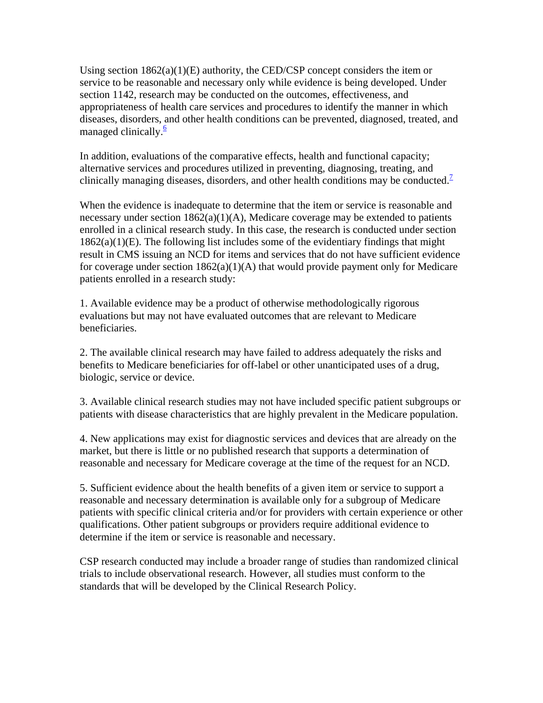Using section  $1862(a)(1)(E)$  authority, the CED/CSP concept considers the item or service to be reasonable and necessary only while evidence is being developed. Under section 1142, research may be conducted on the outcomes, effectiveness, and appropriateness of health care services and procedures to identify the manner in which diseases, disorders, and other health conditions can be prevented, diagnosed, treated, and managed clinically. $\frac{6}{5}$ 

In addition, evaluations of the comparative effects, health and functional capacity; alternative services and procedures utilized in preventing, diagnosing, treating, and clinically managing diseases, disorders, and other health conditions may be conducted.<sup>[7](https://www.cms.hhs.gov/mcd/ncpc_view_document.asp?id=8#P113_14627#P113_14627)</sup>

When the evidence is inadequate to determine that the item or service is reasonable and necessary under section  $1862(a)(1)(A)$ , Medicare coverage may be extended to patients enrolled in a clinical research study. In this case, the research is conducted under section  $1862(a)(1)(E)$ . The following list includes some of the evidentiary findings that might result in CMS issuing an NCD for items and services that do not have sufficient evidence for coverage under section  $1862(a)(1)(A)$  that would provide payment only for Medicare patients enrolled in a research study:

1. Available evidence may be a product of otherwise methodologically rigorous evaluations but may not have evaluated outcomes that are relevant to Medicare beneficiaries.

2. The available clinical research may have failed to address adequately the risks and benefits to Medicare beneficiaries for off-label or other unanticipated uses of a drug, biologic, service or device.

3. Available clinical research studies may not have included specific patient subgroups or patients with disease characteristics that are highly prevalent in the Medicare population.

4. New applications may exist for diagnostic services and devices that are already on the market, but there is little or no published research that supports a determination of reasonable and necessary for Medicare coverage at the time of the request for an NCD.

5. Sufficient evidence about the health benefits of a given item or service to support a reasonable and necessary determination is available only for a subgroup of Medicare patients with specific clinical criteria and/or for providers with certain experience or other qualifications. Other patient subgroups or providers require additional evidence to determine if the item or service is reasonable and necessary.

CSP research conducted may include a broader range of studies than randomized clinical trials to include observational research. However, all studies must conform to the standards that will be developed by the Clinical Research Policy.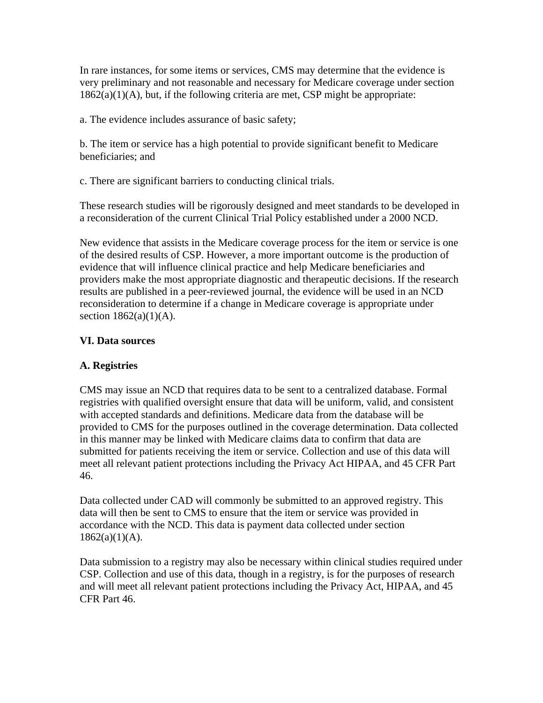In rare instances, for some items or services, CMS may determine that the evidence is very preliminary and not reasonable and necessary for Medicare coverage under section  $1862(a)(1)(A)$ , but, if the following criteria are met, CSP might be appropriate:

a. The evidence includes assurance of basic safety;

b. The item or service has a high potential to provide significant benefit to Medicare beneficiaries; and

c. There are significant barriers to conducting clinical trials.

These research studies will be rigorously designed and meet standards to be developed in a reconsideration of the current Clinical Trial Policy established under a 2000 NCD.

New evidence that assists in the Medicare coverage process for the item or service is one of the desired results of CSP. However, a more important outcome is the production of evidence that will influence clinical practice and help Medicare beneficiaries and providers make the most appropriate diagnostic and therapeutic decisions. If the research results are published in a peer-reviewed journal, the evidence will be used in an NCD reconsideration to determine if a change in Medicare coverage is appropriate under section  $1862(a)(1)(A)$ .

#### **VI. Data sources**

### **A. Registries**

CMS may issue an NCD that requires data to be sent to a centralized database. Formal registries with qualified oversight ensure that data will be uniform, valid, and consistent with accepted standards and definitions. Medicare data from the database will be provided to CMS for the purposes outlined in the coverage determination. Data collected in this manner may be linked with Medicare claims data to confirm that data are submitted for patients receiving the item or service. Collection and use of this data will meet all relevant patient protections including the Privacy Act HIPAA, and 45 CFR Part 46.

Data collected under CAD will commonly be submitted to an approved registry. This data will then be sent to CMS to ensure that the item or service was provided in accordance with the NCD. This data is payment data collected under section  $1862(a)(1)(A)$ .

Data submission to a registry may also be necessary within clinical studies required under CSP. Collection and use of this data, though in a registry, is for the purposes of research and will meet all relevant patient protections including the Privacy Act, HIPAA, and 45 CFR Part 46.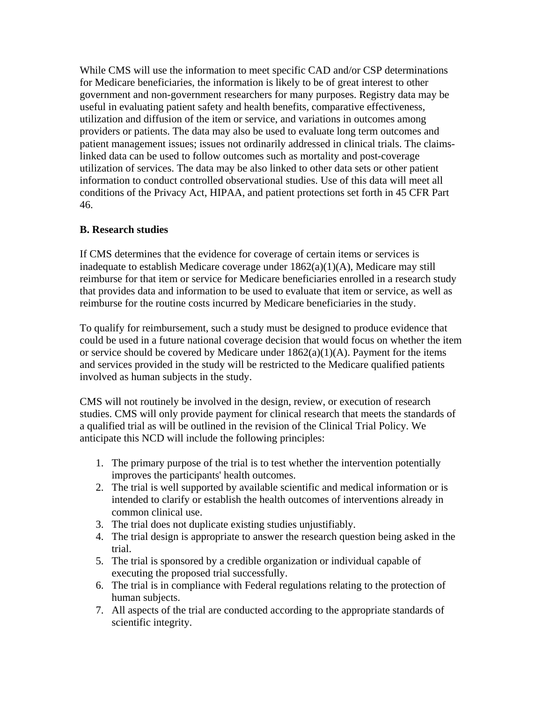While CMS will use the information to meet specific CAD and/or CSP determinations for Medicare beneficiaries, the information is likely to be of great interest to other government and non-government researchers for many purposes. Registry data may be useful in evaluating patient safety and health benefits, comparative effectiveness, utilization and diffusion of the item or service, and variations in outcomes among providers or patients. The data may also be used to evaluate long term outcomes and patient management issues; issues not ordinarily addressed in clinical trials. The claimslinked data can be used to follow outcomes such as mortality and post-coverage utilization of services. The data may be also linked to other data sets or other patient information to conduct controlled observational studies. Use of this data will meet all conditions of the Privacy Act, HIPAA, and patient protections set forth in 45 CFR Part 46.

### **B. Research studies**

If CMS determines that the evidence for coverage of certain items or services is inadequate to establish Medicare coverage under  $1862(a)(1)(A)$ , Medicare may still reimburse for that item or service for Medicare beneficiaries enrolled in a research study that provides data and information to be used to evaluate that item or service, as well as reimburse for the routine costs incurred by Medicare beneficiaries in the study.

To qualify for reimbursement, such a study must be designed to produce evidence that could be used in a future national coverage decision that would focus on whether the item or service should be covered by Medicare under  $1862(a)(1)(A)$ . Payment for the items and services provided in the study will be restricted to the Medicare qualified patients involved as human subjects in the study.

CMS will not routinely be involved in the design, review, or execution of research studies. CMS will only provide payment for clinical research that meets the standards of a qualified trial as will be outlined in the revision of the Clinical Trial Policy. We anticipate this NCD will include the following principles:

- 1. The primary purpose of the trial is to test whether the intervention potentially improves the participants' health outcomes.
- 2. The trial is well supported by available scientific and medical information or is intended to clarify or establish the health outcomes of interventions already in common clinical use.
- 3. The trial does not duplicate existing studies unjustifiably.
- 4. The trial design is appropriate to answer the research question being asked in the trial.
- 5. The trial is sponsored by a credible organization or individual capable of executing the proposed trial successfully.
- 6. The trial is in compliance with Federal regulations relating to the protection of human subjects.
- 7. All aspects of the trial are conducted according to the appropriate standards of scientific integrity.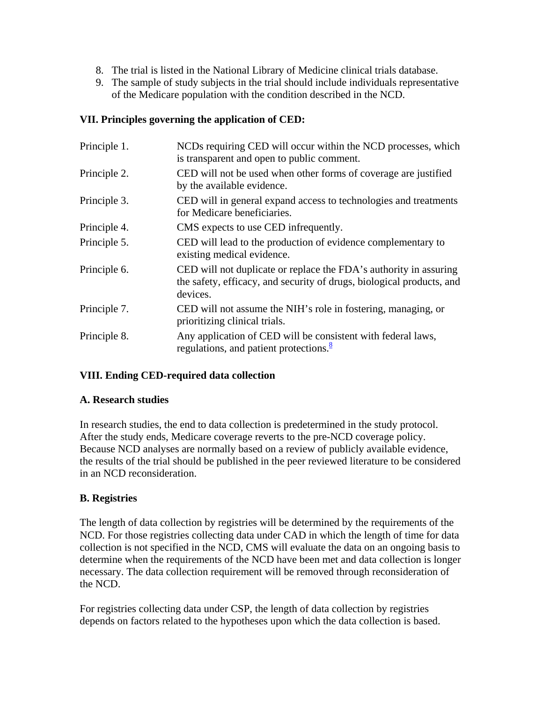- 8. The trial is listed in the National Library of Medicine clinical trials database.
- 9. The sample of study subjects in the trial should include individuals representative of the Medicare population with the condition described in the NCD.

### **VII. Principles governing the application of CED:**

| Principle 1. | NCDs requiring CED will occur within the NCD processes, which<br>is transparent and open to public comment.                                            |
|--------------|--------------------------------------------------------------------------------------------------------------------------------------------------------|
| Principle 2. | CED will not be used when other forms of coverage are justified<br>by the available evidence.                                                          |
| Principle 3. | CED will in general expand access to technologies and treatments<br>for Medicare beneficiaries.                                                        |
| Principle 4. | CMS expects to use CED infrequently.                                                                                                                   |
| Principle 5. | CED will lead to the production of evidence complementary to<br>existing medical evidence.                                                             |
| Principle 6. | CED will not duplicate or replace the FDA's authority in assuring<br>the safety, efficacy, and security of drugs, biological products, and<br>devices. |
| Principle 7. | CED will not assume the NIH's role in fostering, managing, or<br>prioritizing clinical trials.                                                         |
| Principle 8. | Any application of CED will be consistent with federal laws,<br>regulations, and patient protections. $\frac{8}{3}$                                    |

# **VIII. Ending CED-required data collection**

### **A. Research studies**

In research studies, the end to data collection is predetermined in the study protocol. After the study ends, Medicare coverage reverts to the pre-NCD coverage policy. Because NCD analyses are normally based on a review of publicly available evidence, the results of the trial should be published in the peer reviewed literature to be considered in an NCD reconsideration.

# **B. Registries**

The length of data collection by registries will be determined by the requirements of the NCD. For those registries collecting data under CAD in which the length of time for data collection is not specified in the NCD, CMS will evaluate the data on an ongoing basis to determine when the requirements of the NCD have been met and data collection is longer necessary. The data collection requirement will be removed through reconsideration of the NCD.

For registries collecting data under CSP, the length of data collection by registries depends on factors related to the hypotheses upon which the data collection is based.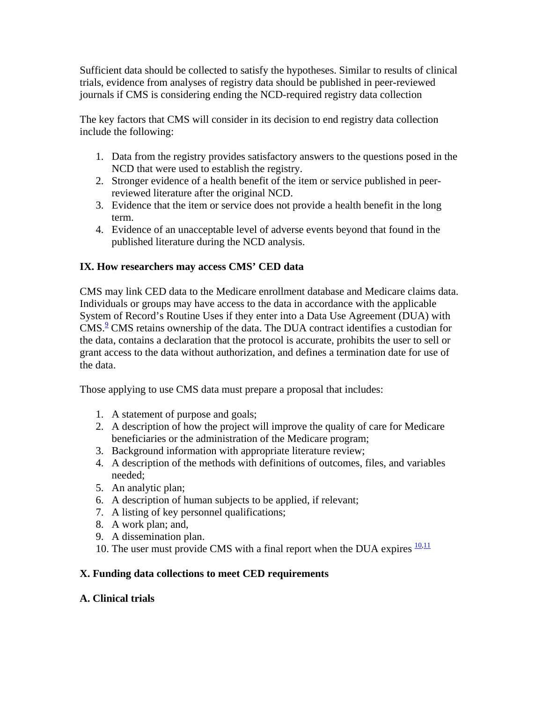Sufficient data should be collected to satisfy the hypotheses. Similar to results of clinical trials, evidence from analyses of registry data should be published in peer-reviewed journals if CMS is considering ending the NCD-required registry data collection

The key factors that CMS will consider in its decision to end registry data collection include the following:

- 1. Data from the registry provides satisfactory answers to the questions posed in the NCD that were used to establish the registry.
- 2. Stronger evidence of a health benefit of the item or service published in peerreviewed literature after the original NCD.
- 3. Evidence that the item or service does not provide a health benefit in the long term.
- 4. Evidence of an unacceptable level of adverse events beyond that found in the published literature during the NCD analysis.

# **IX. How researchers may access CMS' CED data**

CMS may link CED data to the Medicare enrollment database and Medicare claims data. Individuals or groups may have access to the data in accordance with the applicable System of Record's Routine Uses if they enter into a Data Use Agreement (DUA) with CMS.<sup>[9](https://www.cms.hhs.gov/mcd/ncpc_view_document.asp?id=8#P215_25818#P215_25818)</sup> CMS retains ownership of the data. The DUA contract identifies a custodian for the data, contains a declaration that the protocol is accurate, prohibits the user to sell or grant access to the data without authorization, and defines a termination date for use of the data.

Those applying to use CMS data must prepare a proposal that includes:

- 1. A statement of purpose and goals;
- 2. A description of how the project will improve the quality of care for Medicare beneficiaries or the administration of the Medicare program;
- 3. Background information with appropriate literature review;
- 4. A description of the methods with definitions of outcomes, files, and variables needed;
- 5. An analytic plan;
- 6. A description of human subjects to be applied, if relevant;
- 7. A listing of key personnel qualifications;
- 8. A work plan; and,
- 9. A dissemination plan.
- 10. The user must provide CMS with a final report when the DUA expires  $\frac{10,11}{2}$  $\frac{10,11}{2}$  $\frac{10,11}{2}$

# **X. Funding data collections to meet CED requirements**

# **A. Clinical trials**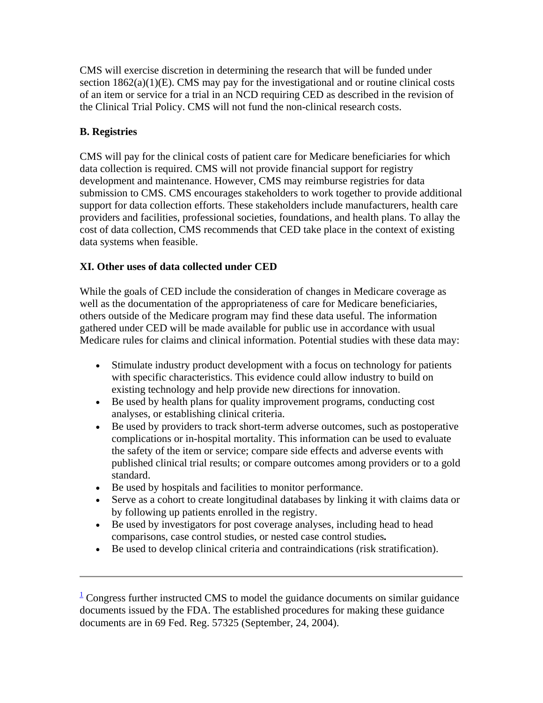CMS will exercise discretion in determining the research that will be funded under section  $1862(a)(1)(E)$ . CMS may pay for the investigational and or routine clinical costs of an item or service for a trial in an NCD requiring CED as described in the revision of the Clinical Trial Policy. CMS will not fund the non-clinical research costs.

# **B. Registries**

CMS will pay for the clinical costs of patient care for Medicare beneficiaries for which data collection is required. CMS will not provide financial support for registry development and maintenance. However, CMS may reimburse registries for data submission to CMS. CMS encourages stakeholders to work together to provide additional support for data collection efforts. These stakeholders include manufacturers, health care providers and facilities, professional societies, foundations, and health plans. To allay the cost of data collection, CMS recommends that CED take place in the context of existing data systems when feasible.

# **XI. Other uses of data collected under CED**

While the goals of CED include the consideration of changes in Medicare coverage as well as the documentation of the appropriateness of care for Medicare beneficiaries, others outside of the Medicare program may find these data useful. The information gathered under CED will be made available for public use in accordance with usual Medicare rules for claims and clinical information. Potential studies with these data may:

- Stimulate industry product development with a focus on technology for patients with specific characteristics. This evidence could allow industry to build on existing technology and help provide new directions for innovation.
- Be used by health plans for quality improvement programs, conducting cost analyses, or establishing clinical criteria.
- Be used by providers to track short-term adverse outcomes, such as postoperative complications or in-hospital mortality. This information can be used to evaluate the safety of the item or service; compare side effects and adverse events with published clinical trial results; or compare outcomes among providers or to a gold standard.
- Be used by hospitals and facilities to monitor performance.
- Serve as a cohort to create longitudinal databases by linking it with claims data or by following up patients enrolled in the registry.
- Be used by investigators for post coverage analyses, including head to head comparisons, case control studies, or nested case control studies*.*
- Be used to develop clinical criteria and contraindications (risk stratification).

 $\frac{1}{2}$  $\frac{1}{2}$  $\frac{1}{2}$  Congress further instructed CMS to model the guidance documents on similar guidance documents issued by the FDA. The established procedures for making these guidance documents are in 69 Fed. Reg. 57325 (September, 24, 2004).